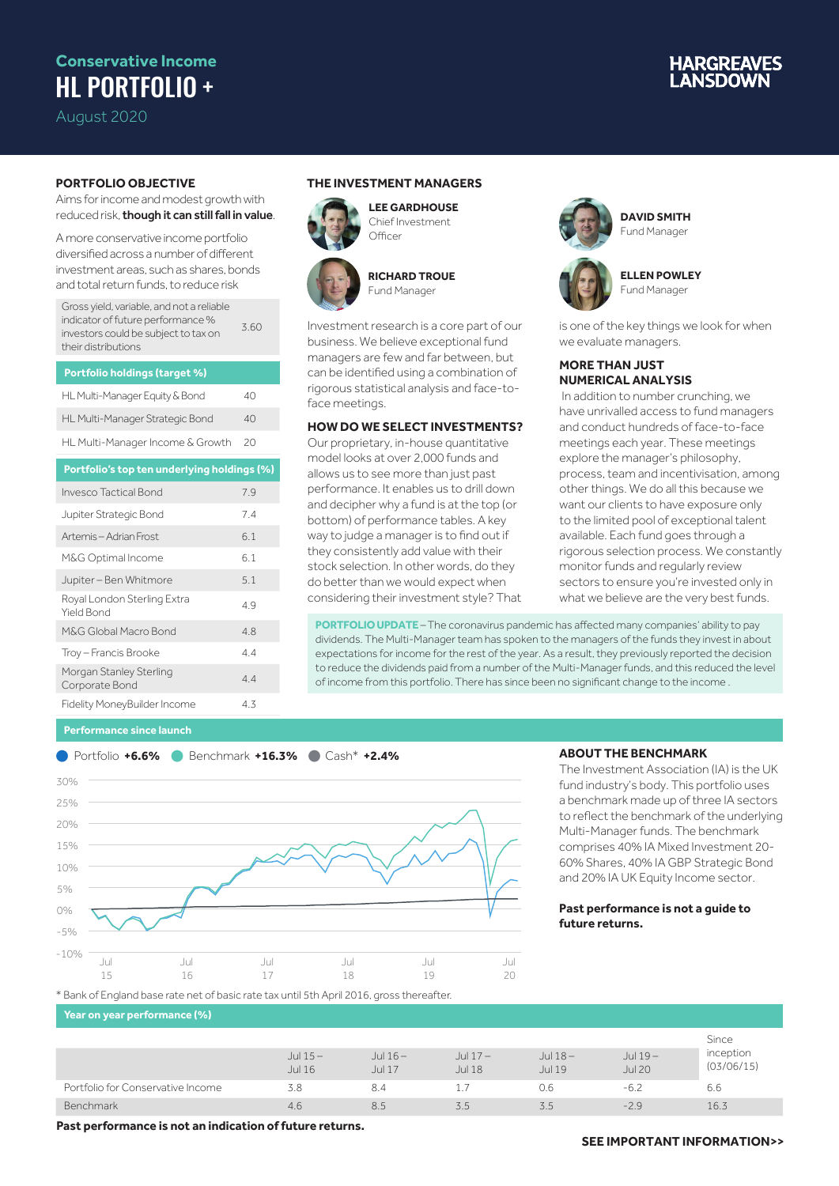## **Conservative Income** HL PORTFOLIO +

August 2020

# **IARGREAVES**

### **PORTFOLIO OBJECTIVE**

Aims for income and modest growth with reduced risk, though it can still fall in value.

A more conservative income portfolio diversified across a number of different investment areas, such as shares, bonds and total return funds, to reduce risk

| <b>Portfolio holdings (target %)</b> |    |
|--------------------------------------|----|
| HL Multi-Manager Equity & Bond       | 40 |
| HL Multi-Manager Strategic Bond      | 40 |
| HL Multi-Manager Income & Growth     | 20 |

| Portfolio's top ten underlying holdings (%) |     |
|---------------------------------------------|-----|
| Invesco Tactical Bond                       | 7.9 |
| Jupiter Strategic Bond                      | 74  |
| Artemis - Adrian Frost                      | 6.1 |
| M&G Optimal Income                          | 6.1 |
| Jupiter - Ben Whitmore                      | 5.1 |
| Royal London Sterling Extra<br>Yield Bond   | 4.9 |
| M&G Global Macro Bond                       | 4.8 |
| Troy - Francis Brooke                       | 44  |
| Morgan Stanley Sterling<br>Corporate Bond   | 44  |
| Fidelity MoneyBuilder Income                | 4.3 |

### **THE INVESTMENT MANAGERS**

Officer





**RICHARD TROUE** Fund Manager

**LEE GARDHOUSE** Chief Investment

Investment research is a core part of our business. We believe exceptional fund managers are few and far between, but can be identified using a combination of rigorous statistical analysis and face-toface meetings.

### **HOW DO WE SELECT INVESTMENTS?**

Our proprietary, in-house quantitative model looks at over 2,000 funds and allows us to see more than just past performance. It enables us to drill down and decipher why a fund is at the top (or bottom) of performance tables. A key way to judge a manager is to find out if they consistently add value with their stock selection. In other words, do they do better than we would expect when considering their investment style? That



**DAVID SMITH** Fund Manager



**ELLEN POWLEY** Fund Manager

is one of the key things we look for when we evaluate managers.

### **MORE THAN JUST NUMERICAL ANALYSIS**

 In addition to number crunching, we have unrivalled access to fund managers and conduct hundreds of face-to-face meetings each year. These meetings explore the manager's philosophy, process, team and incentivisation, among other things. We do all this because we want our clients to have exposure only to the limited pool of exceptional talent available. Each fund goes through a rigorous selection process. We constantly monitor funds and regularly review sectors to ensure you're invested only in what we believe are the very best funds.

**PORTFOLIO UPDATE** - The coronavirus pandemic has affected many companies' ability to pay dividends. The Multi-Manager team has spoken to the managers of the funds they invest in about expectations for income for the rest of the year. As a result, they previously reported the decision to reduce the dividends paid from a number of the Multi-Manager funds, and this reduced the level of income from this portfolio. There has since been no significant change to the income .

### **Performance since launch**



### **ABOUT THE BENCHMARK**

The Investment Association (IA) is the UK fund industry's body. This portfolio uses a benchmark made up of three IA sectors to reflect the benchmark of the underlying Multi-Manager funds. The benchmark comprises 40% IA Mixed Investment 20- 60% Shares, 40% IA GBP Strategic Bond and 20% IA UK Equity Income sector.

### **Past performance is not a guide to future returns.**

\* Bank of England base rate net of basic rate tax until 5th April 2016, gross thereafter.

**Year on year performance (%)**

|                                   |                            |                            |                            |                     |                            | Since                   |
|-----------------------------------|----------------------------|----------------------------|----------------------------|---------------------|----------------------------|-------------------------|
|                                   | Jul $15-$<br><b>Jul 16</b> | Jul $16-$<br><b>Jul 17</b> | Jul $17-$<br><b>Jul 18</b> | Jul $18-$<br>Jul 19 | Jul $19-$<br><b>Jul 20</b> | inception<br>(03/06/15) |
| Portfolio for Conservative Income | 3.8                        | 8.4                        |                            | 0.6                 | $-6.2$                     | 6.6                     |
| Benchmark                         | 4.6                        | 8.5                        | 5.5                        | 3.5                 | $-2.9$                     | 16.3                    |

**Past performance is not an indication of future returns.**

### **SEE IMPORTANT INFORMATION>>**